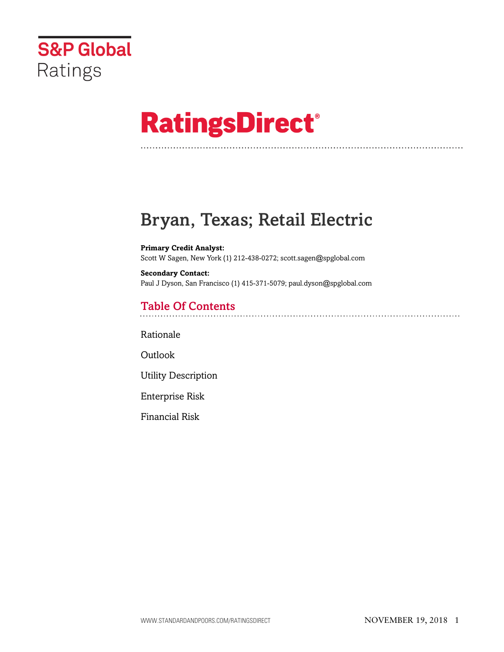

# **RatingsDirect®**

# Bryan, Texas; Retail Electric

**Primary Credit Analyst:** Scott W Sagen, New York (1) 212-438-0272; scott.sagen@spglobal.com

**Secondary Contact:** Paul J Dyson, San Francisco (1) 415-371-5079; paul.dyson@spglobal.com

# Table Of Contents

[Rationale](#page-1-0)

[Outlook](#page-2-0)

[Utility Description](#page-2-1)

[Enterprise Risk](#page-3-0)

[Financial Risk](#page-4-0)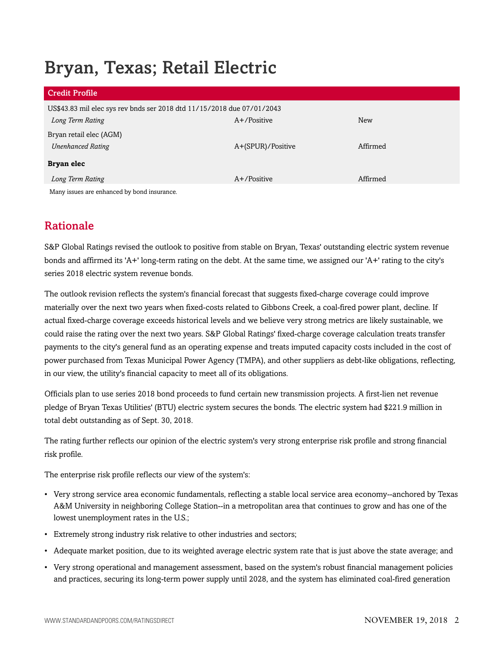# Bryan, Texas; Retail Electric

| <b>Credit Profile</b>                                                  |                   |          |
|------------------------------------------------------------------------|-------------------|----------|
| US\$43.83 mil elec sys rev bnds ser 2018 dtd 11/15/2018 due 07/01/2043 |                   |          |
| Long Term Rating                                                       | $A+$ /Positive    | New      |
| Bryan retail elec (AGM)                                                |                   |          |
| <b>Unenhanced Rating</b>                                               | A+(SPUR)/Positive | Affirmed |
| Bryan elec                                                             |                   |          |
| Long Term Rating                                                       | $A+$ /Positive    | Affirmed |
| Many issues are enhanced by bond insurance.                            |                   |          |

# <span id="page-1-0"></span>Rationale

S&P Global Ratings revised the outlook to positive from stable on Bryan, Texas' outstanding electric system revenue bonds and affirmed its 'A+' long-term rating on the debt. At the same time, we assigned our 'A+' rating to the city's series 2018 electric system revenue bonds.

The outlook revision reflects the system's financial forecast that suggests fixed-charge coverage could improve materially over the next two years when fixed-costs related to Gibbons Creek, a coal-fired power plant, decline. If actual fixed-charge coverage exceeds historical levels and we believe very strong metrics are likely sustainable, we could raise the rating over the next two years. S&P Global Ratings' fixed-charge coverage calculation treats transfer payments to the city's general fund as an operating expense and treats imputed capacity costs included in the cost of power purchased from Texas Municipal Power Agency (TMPA), and other suppliers as debt-like obligations, reflecting, in our view, the utility's financial capacity to meet all of its obligations.

Officials plan to use series 2018 bond proceeds to fund certain new transmission projects. A first-lien net revenue pledge of Bryan Texas Utilities' (BTU) electric system secures the bonds. The electric system had \$221.9 million in total debt outstanding as of Sept. 30, 2018.

The rating further reflects our opinion of the electric system's very strong enterprise risk profile and strong financial risk profile.

The enterprise risk profile reflects our view of the system's:

- Very strong service area economic fundamentals, reflecting a stable local service area economy--anchored by Texas A&M University in neighboring College Station--in a metropolitan area that continues to grow and has one of the lowest unemployment rates in the U.S.;
- Extremely strong industry risk relative to other industries and sectors;
- Adequate market position, due to its weighted average electric system rate that is just above the state average; and
- Very strong operational and management assessment, based on the system's robust financial management policies and practices, securing its long-term power supply until 2028, and the system has eliminated coal-fired generation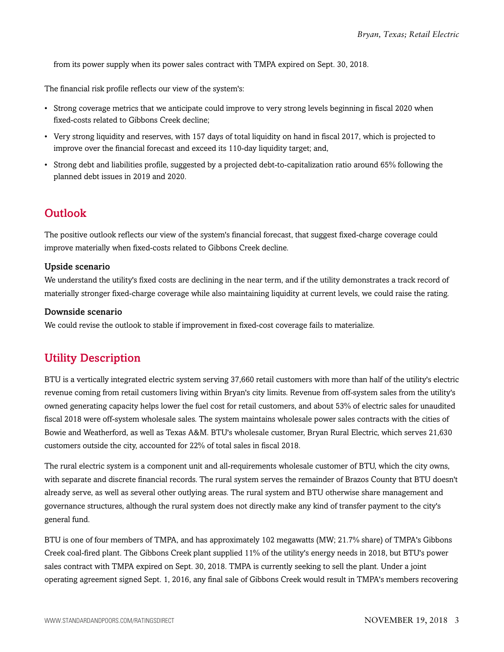from its power supply when its power sales contract with TMPA expired on Sept. 30, 2018.

The financial risk profile reflects our view of the system's:

- Strong coverage metrics that we anticipate could improve to very strong levels beginning in fiscal 2020 when fixed-costs related to Gibbons Creek decline;
- Very strong liquidity and reserves, with 157 days of total liquidity on hand in fiscal 2017, which is projected to improve over the financial forecast and exceed its 110-day liquidity target; and,
- Strong debt and liabilities profile, suggested by a projected debt-to-capitalization ratio around 65% following the planned debt issues in 2019 and 2020.

# <span id="page-2-0"></span>**Outlook**

The positive outlook reflects our view of the system's financial forecast, that suggest fixed-charge coverage could improve materially when fixed-costs related to Gibbons Creek decline.

## Upside scenario

We understand the utility's fixed costs are declining in the near term, and if the utility demonstrates a track record of materially stronger fixed-charge coverage while also maintaining liquidity at current levels, we could raise the rating.

### Downside scenario

<span id="page-2-1"></span>We could revise the outlook to stable if improvement in fixed-cost coverage fails to materialize.

# Utility Description

BTU is a vertically integrated electric system serving 37,660 retail customers with more than half of the utility's electric revenue coming from retail customers living within Bryan's city limits. Revenue from off-system sales from the utility's owned generating capacity helps lower the fuel cost for retail customers, and about 53% of electric sales for unaudited fiscal 2018 were off-system wholesale sales. The system maintains wholesale power sales contracts with the cities of Bowie and Weatherford, as well as Texas A&M. BTU's wholesale customer, Bryan Rural Electric, which serves 21,630 customers outside the city, accounted for 22% of total sales in fiscal 2018.

The rural electric system is a component unit and all-requirements wholesale customer of BTU, which the city owns, with separate and discrete financial records. The rural system serves the remainder of Brazos County that BTU doesn't already serve, as well as several other outlying areas. The rural system and BTU otherwise share management and governance structures, although the rural system does not directly make any kind of transfer payment to the city's general fund.

BTU is one of four members of TMPA, and has approximately 102 megawatts (MW; 21.7% share) of TMPA's Gibbons Creek coal-fired plant. The Gibbons Creek plant supplied 11% of the utility's energy needs in 2018, but BTU's power sales contract with TMPA expired on Sept. 30, 2018. TMPA is currently seeking to sell the plant. Under a joint operating agreement signed Sept. 1, 2016, any final sale of Gibbons Creek would result in TMPA's members recovering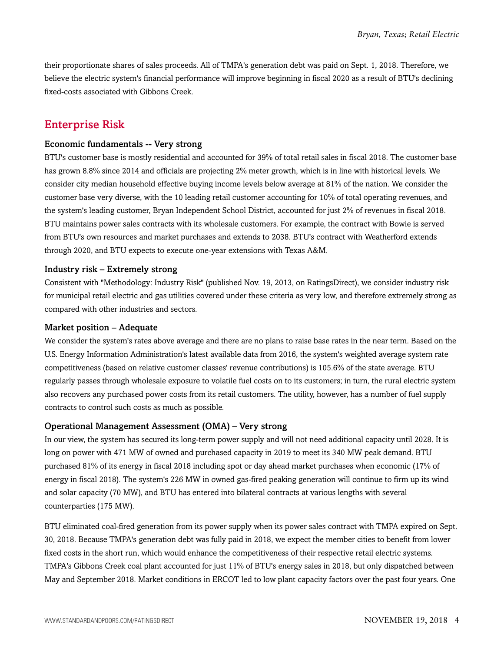their proportionate shares of sales proceeds. All of TMPA's generation debt was paid on Sept. 1, 2018. Therefore, we believe the electric system's financial performance will improve beginning in fiscal 2020 as a result of BTU's declining fixed-costs associated with Gibbons Creek.

# <span id="page-3-0"></span>Enterprise Risk

#### Economic fundamentals -- Very strong

BTU's customer base is mostly residential and accounted for 39% of total retail sales in fiscal 2018. The customer base has grown 8.8% since 2014 and officials are projecting 2% meter growth, which is in line with historical levels. We consider city median household effective buying income levels below average at 81% of the nation. We consider the customer base very diverse, with the 10 leading retail customer accounting for 10% of total operating revenues, and the system's leading customer, Bryan Independent School District, accounted for just 2% of revenues in fiscal 2018. BTU maintains power sales contracts with its wholesale customers. For example, the contract with Bowie is served from BTU's own resources and market purchases and extends to 2038. BTU's contract with Weatherford extends through 2020, and BTU expects to execute one-year extensions with Texas A&M.

#### Industry risk – Extremely strong

Consistent with "Methodology: Industry Risk" (published Nov. 19, 2013, on RatingsDirect), we consider industry risk for municipal retail electric and gas utilities covered under these criteria as very low, and therefore extremely strong as compared with other industries and sectors.

#### Market position – Adequate

We consider the system's rates above average and there are no plans to raise base rates in the near term. Based on the U.S. Energy Information Administration's latest available data from 2016, the system's weighted average system rate competitiveness (based on relative customer classes' revenue contributions) is 105.6% of the state average. BTU regularly passes through wholesale exposure to volatile fuel costs on to its customers; in turn, the rural electric system also recovers any purchased power costs from its retail customers. The utility, however, has a number of fuel supply contracts to control such costs as much as possible.

#### Operational Management Assessment (OMA) – Very strong

In our view, the system has secured its long-term power supply and will not need additional capacity until 2028. It is long on power with 471 MW of owned and purchased capacity in 2019 to meet its 340 MW peak demand. BTU purchased 81% of its energy in fiscal 2018 including spot or day ahead market purchases when economic (17% of energy in fiscal 2018). The system's 226 MW in owned gas-fired peaking generation will continue to firm up its wind and solar capacity (70 MW), and BTU has entered into bilateral contracts at various lengths with several counterparties (175 MW).

BTU eliminated coal-fired generation from its power supply when its power sales contract with TMPA expired on Sept. 30, 2018. Because TMPA's generation debt was fully paid in 2018, we expect the member cities to benefit from lower fixed costs in the short run, which would enhance the competitiveness of their respective retail electric systems. TMPA's Gibbons Creek coal plant accounted for just 11% of BTU's energy sales in 2018, but only dispatched between May and September 2018. Market conditions in ERCOT led to low plant capacity factors over the past four years. One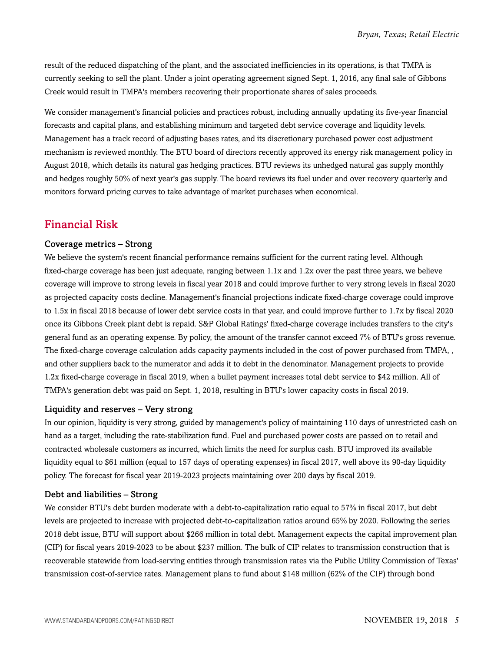result of the reduced dispatching of the plant, and the associated inefficiencies in its operations, is that TMPA is currently seeking to sell the plant. Under a joint operating agreement signed Sept. 1, 2016, any final sale of Gibbons Creek would result in TMPA's members recovering their proportionate shares of sales proceeds.

We consider management's financial policies and practices robust, including annually updating its five-year financial forecasts and capital plans, and establishing minimum and targeted debt service coverage and liquidity levels. Management has a track record of adjusting bases rates, and its discretionary purchased power cost adjustment mechanism is reviewed monthly. The BTU board of directors recently approved its energy risk management policy in August 2018, which details its natural gas hedging practices. BTU reviews its unhedged natural gas supply monthly and hedges roughly 50% of next year's gas supply. The board reviews its fuel under and over recovery quarterly and monitors forward pricing curves to take advantage of market purchases when economical.

# <span id="page-4-0"></span>Financial Risk

#### Coverage metrics – Strong

We believe the system's recent financial performance remains sufficient for the current rating level. Although fixed-charge coverage has been just adequate, ranging between 1.1x and 1.2x over the past three years, we believe coverage will improve to strong levels in fiscal year 2018 and could improve further to very strong levels in fiscal 2020 as projected capacity costs decline. Management's financial projections indicate fixed-charge coverage could improve to 1.5x in fiscal 2018 because of lower debt service costs in that year, and could improve further to 1.7x by fiscal 2020 once its Gibbons Creek plant debt is repaid. S&P Global Ratings' fixed-charge coverage includes transfers to the city's general fund as an operating expense. By policy, the amount of the transfer cannot exceed 7% of BTU's gross revenue. The fixed-charge coverage calculation adds capacity payments included in the cost of power purchased from TMPA, , and other suppliers back to the numerator and adds it to debt in the denominator. Management projects to provide 1.2x fixed-charge coverage in fiscal 2019, when a bullet payment increases total debt service to \$42 million. All of TMPA's generation debt was paid on Sept. 1, 2018, resulting in BTU's lower capacity costs in fiscal 2019.

#### Liquidity and reserves – Very strong

In our opinion, liquidity is very strong, guided by management's policy of maintaining 110 days of unrestricted cash on hand as a target, including the rate-stabilization fund. Fuel and purchased power costs are passed on to retail and contracted wholesale customers as incurred, which limits the need for surplus cash. BTU improved its available liquidity equal to \$61 million (equal to 157 days of operating expenses) in fiscal 2017, well above its 90-day liquidity policy. The forecast for fiscal year 2019-2023 projects maintaining over 200 days by fiscal 2019.

## Debt and liabilities – Strong

We consider BTU's debt burden moderate with a debt-to-capitalization ratio equal to 57% in fiscal 2017, but debt levels are projected to increase with projected debt-to-capitalization ratios around 65% by 2020. Following the series 2018 debt issue, BTU will support about \$266 million in total debt. Management expects the capital improvement plan (CIP) for fiscal years 2019-2023 to be about \$237 million. The bulk of CIP relates to transmission construction that is recoverable statewide from load-serving entities through transmission rates via the Public Utility Commission of Texas' transmission cost-of-service rates. Management plans to fund about \$148 million (62% of the CIP) through bond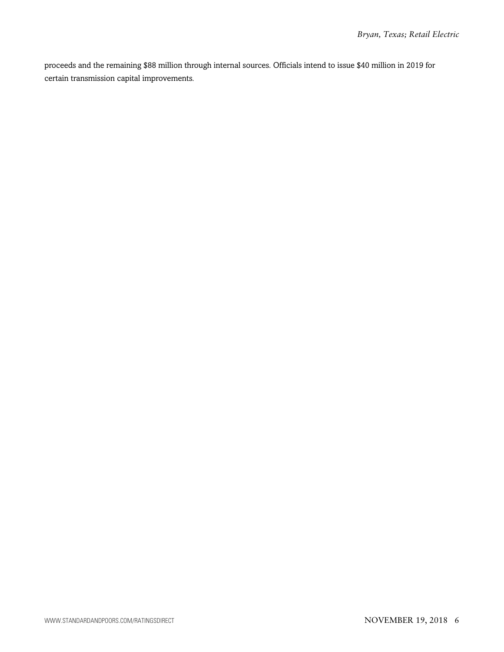proceeds and the remaining \$88 million through internal sources. Officials intend to issue \$40 million in 2019 for certain transmission capital improvements.